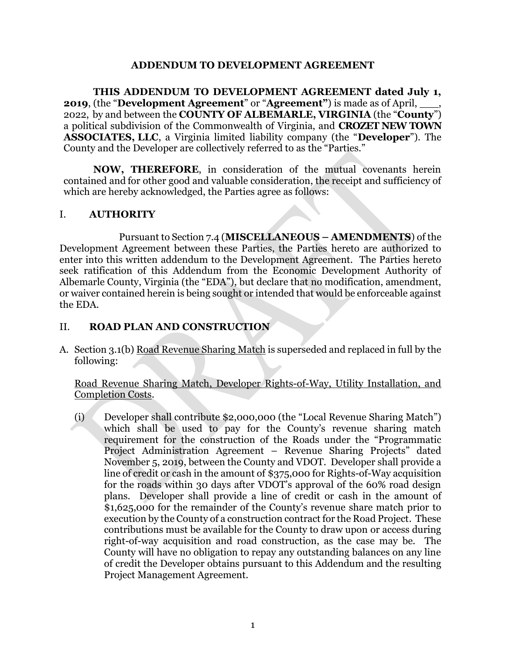## **ADDENDUM TO DEVELOPMENT AGREEMENT**

**THIS ADDENDUM TO DEVELOPMENT AGREEMENT dated July 1, 2019**, (the "**Development Agreement**" or "**Agreement"**) is made as of April, \_\_\_, 2022, by and between the **COUNTY OF ALBEMARLE, VIRGINIA** (the "**County**") a political subdivision of the Commonwealth of Virginia, and **CROZET NEW TOWN ASSOCIATES, LLC**, a Virginia limited liability company (the "**Developer**"). The County and the Developer are collectively referred to as the "Parties."

**NOW, THEREFORE**, in consideration of the mutual covenants herein contained and for other good and valuable consideration, the receipt and sufficiency of which are hereby acknowledged, the Parties agree as follows:

## I. **AUTHORITY**

Pursuant to Section 7.4 (**MISCELLANEOUS – AMENDMENTS**) of the Development Agreement between these Parties, the Parties hereto are authorized to enter into this written addendum to the Development Agreement. The Parties hereto seek ratification of this Addendum from the Economic Development Authority of Albemarle County, Virginia (the "EDA"), but declare that no modification, amendment, or waiver contained herein is being sought or intended that would be enforceable against the EDA.

## II. **ROAD PLAN AND CONSTRUCTION**

A. Section 3.1(b) Road Revenue Sharing Match is superseded and replaced in full by the following:

Road Revenue Sharing Match, Developer Rights-of-Way, Utility Installation, and Completion Costs.

(i) Developer shall contribute \$2,000,000 (the "Local Revenue Sharing Match") which shall be used to pay for the County's revenue sharing match requirement for the construction of the Roads under the "Programmatic Project Administration Agreement – Revenue Sharing Projects" dated November 5, 2019, between the County and VDOT. Developer shall provide a line of credit or cash in the amount of \$375,000 for Rights-of-Way acquisition for the roads within 30 days after VDOT's approval of the 60% road design plans. Developer shall provide a line of credit or cash in the amount of \$1,625,000 for the remainder of the County's revenue share match prior to execution by the County of a construction contract for the Road Project. These contributions must be available for the County to draw upon or access during right-of-way acquisition and road construction, as the case may be. The County will have no obligation to repay any outstanding balances on any line of credit the Developer obtains pursuant to this Addendum and the resulting Project Management Agreement.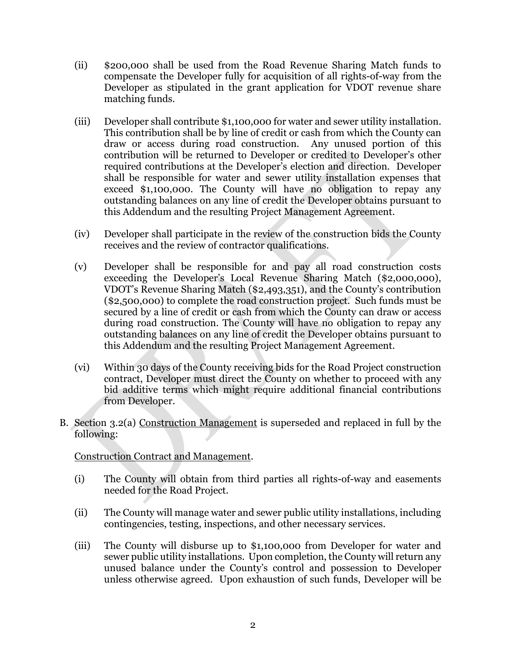- (ii) \$200,000 shall be used from the Road Revenue Sharing Match funds to compensate the Developer fully for acquisition of all rights-of-way from the Developer as stipulated in the grant application for VDOT revenue share matching funds.
- (iii) Developer shall contribute \$1,100,000 for water and sewer utility installation. This contribution shall be by line of credit or cash from which the County can draw or access during road construction. Any unused portion of this contribution will be returned to Developer or credited to Developer's other required contributions at the Developer's election and direction. Developer shall be responsible for water and sewer utility installation expenses that exceed \$1,100,000. The County will have no obligation to repay any outstanding balances on any line of credit the Developer obtains pursuant to this Addendum and the resulting Project Management Agreement.
- (iv) Developer shall participate in the review of the construction bids the County receives and the review of contractor qualifications.
- (v) Developer shall be responsible for and pay all road construction costs exceeding the Developer's Local Revenue Sharing Match (\$2,000,000), VDOT's Revenue Sharing Match (\$2,493,351), and the County's contribution (\$2,500,000) to complete the road construction project. Such funds must be secured by a line of credit or cash from which the County can draw or access during road construction. The County will have no obligation to repay any outstanding balances on any line of credit the Developer obtains pursuant to this Addendum and the resulting Project Management Agreement.
- (vi) Within 30 days of the County receiving bids for the Road Project construction contract, Developer must direct the County on whether to proceed with any bid additive terms which might require additional financial contributions from Developer.
- B. Section 3.2(a) Construction Management is superseded and replaced in full by the following:

Construction Contract and Management.

- (i) The County will obtain from third parties all rights-of-way and easements needed for the Road Project.
- (ii) The County will manage water and sewer public utility installations, including contingencies, testing, inspections, and other necessary services.
- (iii) The County will disburse up to \$1,100,000 from Developer for water and sewer public utility installations. Upon completion, the County will return any unused balance under the County's control and possession to Developer unless otherwise agreed. Upon exhaustion of such funds, Developer will be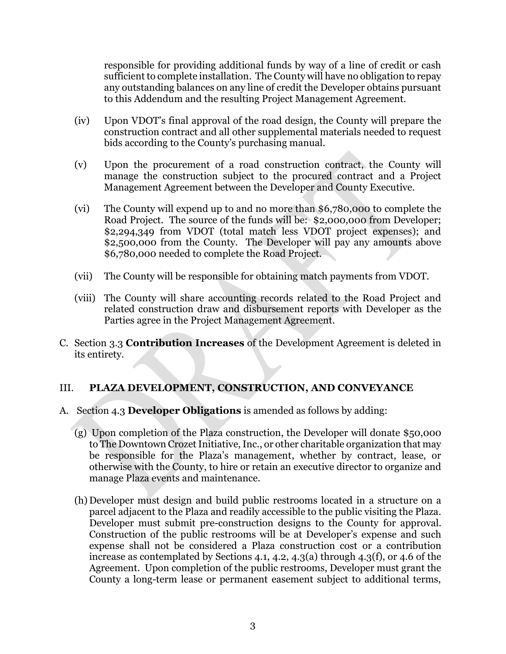responsible for providing additional funds by way of a line of credit or cash sufficient to complete installation. The County will have no obligation to repay any outstanding balances on any line of credit the Developer obtains pursuant to this Addendum and the resulting Project Management Agreement.

- (iv) Upon VDOT's final approval of the road design, the County will prepare the construction contract and all other supplemental materials needed to request bids according to the County's purchasing manual.
- (v) Upon the procurement of a road construction contract, the County will manage the construction subject to the procured contract and a Project Management Agreement between the Developer and County Executive.
- (vi) The County will expend up to and no more than \$6,780,000 to complete the Road Project. The source of the funds will be: \$2,000,000 from Developer; \$2,294,349 from VDOT (total match less VDOT project expenses); and \$2,500,000 from the County. The Developer will pay any amounts above \$6,780,000 needed to complete the Road Project.
- (vii) The County will be responsible for obtaining match payments from VDOT.
- (viii) The County will share accounting records related to the Road Project and related construction draw and disbursement reports with Developer as the Parties agree in the Project Management Agreement.
- C. Section 3.3 **Contribution Increases** of the Development Agreement is deleted in its entirety.

# III. **PLAZA DEVELOPMENT, CONSTRUCTION, AND CONVEYANCE**

- A. Section 4.3 **Developer Obligations** is amended as follows by adding:
	- (g) Upon completion of the Plaza construction, the Developer will donate \$50,000 to The Downtown Crozet Initiative, Inc., or other charitable organization that may be responsible for the Plaza's management, whether by contract, lease, or otherwise with the County, to hire or retain an executive director to organize and manage Plaza events and maintenance.
	- (h) Developer must design and build public restrooms located in a structure on a parcel adjacent to the Plaza and readily accessible to the public visiting the Plaza. Developer must submit pre-construction designs to the County for approval. Construction of the public restrooms will be at Developer's expense and such expense shall not be considered a Plaza construction cost or a contribution increase as contemplated by Sections 4.1, 4.2, 4.3(a) through 4.3(f), or 4.6 of the Agreement. Upon completion of the public restrooms, Developer must grant the County a long-term lease or permanent easement subject to additional terms,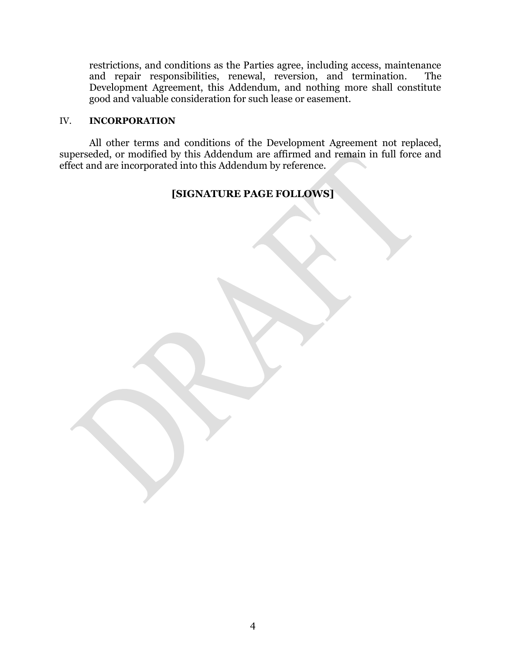restrictions, and conditions as the Parties agree, including access, maintenance and repair responsibilities, renewal, reversion, and termination. The Development Agreement, this Addendum, and nothing more shall constitute good and valuable consideration for such lease or easement.

#### IV. **INCORPORATION**

All other terms and conditions of the Development Agreement not replaced, superseded, or modified by this Addendum are affirmed and remain in full force and effect and are incorporated into this Addendum by reference.

## **[SIGNATURE PAGE FOLLOWS]**